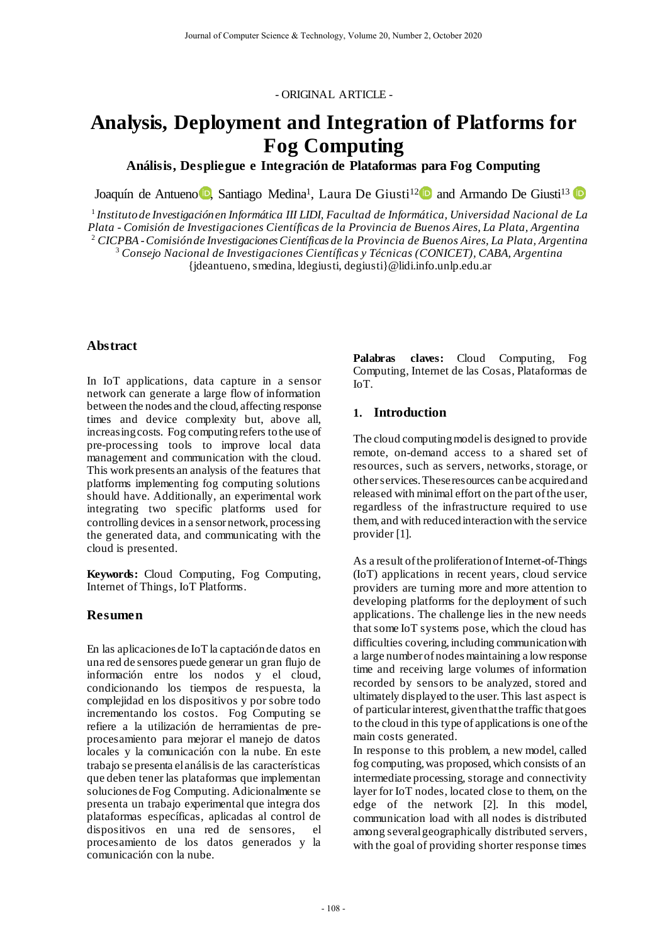- ORIGINAL ARTICLE -

# **Analysis, Deployment and Integration of Platforms for Fog Computing**

**Análisis, Despliegue e Integración de Plataformas para Fog Computing**

Joaquín de Antue[no](https://orcid.org/0000-0003-4095-9059)<sup>r</sup> D, Santiago Medina<sup>1</sup>, Laura De Giusti<sup>12</sup> and Armando De Giusti<sup>13</sup>

<sup>1</sup> *Instituto de Investigación en Informática III LIDI, Facultad de Informática, Universidad Nacional de La Plata - Comisión de Investigaciones Científicas de la Provincia de Buenos Aires, La Plata, Argentina* <sup>2</sup> *CICPBA - Comisión de Investigaciones Científicas de la Provincia de Buenos Aires, La Plata, Argentina* <sup>3</sup> *Consejo Nacional de Investigaciones Científicas y Técnicas (CONICET), CABA, Argentina*

{jdeantueno, smedina, ldegiusti, degiusti}@lidi.info.unlp.edu.ar

#### **Abstract**

In IoT applications, data capture in a sensor network can generate a large flow of information between the nodes and the cloud, affecting response times and device complexity but, above all, increasing costs. Fog computing refers to the use of pre-processing tools to improve local data management and communication with the cloud. This work presents an analysis of the features that platforms implementing fog computing solutions should have. Additionally, an experimental work integrating two specific platforms used for controlling devices in a sensor network, processing the generated data, and communicating with the cloud is presented.

**Keywords:** Cloud Computing, Fog Computing, Internet of Things, IoT Platforms.

#### **Resumen**

En las aplicaciones de IoT la captación de datos en una red de sensores puede generar un gran flujo de información entre los nodos y el cloud, condicionando los tiempos de respuesta, la complejidad en los dispositivos y por sobre todo incrementando los costos. Fog Computing se refiere a la utilización de herramientas de preprocesamiento para mejorar el manejo de datos locales y la comunicación con la nube. En este trabajo se presenta el análisis de las características que deben tener las plataformas que implementan soluciones de Fog Computing. Adicionalmente se presenta un trabajo experimental que integra dos plataformas específicas, aplicadas al control de dispositivos en una red de sensores, el procesamiento de los datos generados y la comunicación con la nube.

**Palabras claves:** Cloud Computing, Fog Computing, Internet de las Cosas, Plataformas de IoT.

#### **1. Introduction**

The cloud computing model is designed to provide remote, on-demand access to a shared set of resources, such as servers, networks, storage, or other services. These resources can be acquired and released with minimal effort on the part of the user, regardless of the infrastructure required to use them, and with reduced interaction with the service provider [1].

As a result of the proliferation of Internet-of-Things (IoT) applications in recent years, cloud service providers are turning more and more attention to developing platforms for the deployment of such applications. The challenge lies in the new needs that some IoT systems pose, which the cloud has difficulties covering, including communication with a large number of nodes maintaining a low response time and receiving large volumes of information recorded by sensors to be analyzed, stored and ultimately displayed to the user. This last aspect is of particular interest, given that the traffic that goes to the cloud in this type of applications is one of the main costs generated.

In response to this problem, a new model, called fog computing, was proposed, which consists of an intermediate processing, storage and connectivity layer for IoT nodes, located close to them, on the edge of the network [2]. In this model, communication load with all nodes is distributed among several geographically distributed servers, with the goal of providing shorter response times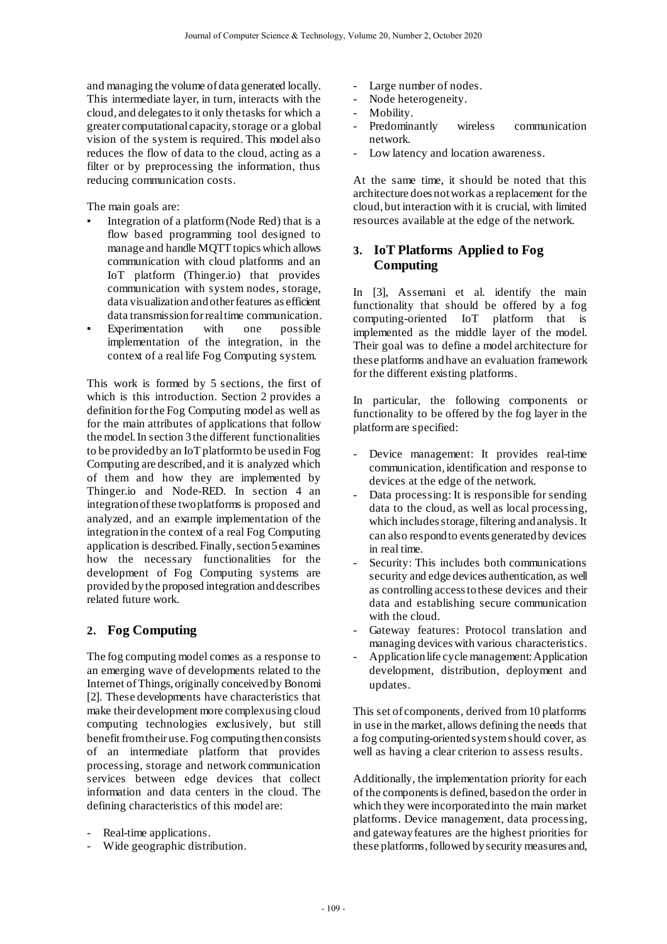and managing the volume of data generated locally. This intermediate layer, in turn, interacts with the cloud, and delegates to it only the tasks for which a greater computational capacity, storage or a global vision of the system is required. This model also reduces the flow of data to the cloud, acting as a filter or by preprocessing the information, thus reducing communication costs.

The main goals are:

- Integration of a platform (Node Red) that is a flow based programming tool designed to manage and handle MQTT topics which allows communication with cloud platforms and an IoT platform (Thinger.io) that provides communication with system nodes, storage, data visualization and other features as efficient data transmission for real time communication.<br>Experimentation with one possible
- Experimentation with one possible implementation of the integration, in the context of a real life Fog Computing system.

This work is formed by 5 sections, the first of which is this introduction. Section 2 provides a definition for the Fog Computing model as well as for the main attributes of applications that follow the model. In section 3 the different functionalities to be provided by an IoT platform to be used in Fog Computing are described, and it is analyzed which of them and how they are implemented by Thinger.io and Node-RED. In section 4 an integration of these two platforms is proposed and analyzed, and an example implementation of the integration in the context of a real Fog Computing application is described. Finally, section 5 examines how the necessary functionalities for the development of Fog Computing systems are provided by the proposed integration and describes related future work.

# **2. Fog Computing**

The fog computing model comes as a response to an emerging wave of developments related to the Internet of Things, originally conceived by Bonomi [2]. These developments have characteristics that make their development more complex using cloud computing technologies exclusively, but still benefit from their use. Fog computing then consists of an intermediate platform that provides processing, storage and network communication services between edge devices that collect information and data centers in the cloud. The defining characteristics of this model are:

- Real-time applications.
- Wide geographic distribution.
- Large number of nodes.
- Node heterogeneity.
- Mobility.
- Predominantly wireless communication network.
- Low latency and location awareness.

At the same time, it should be noted that this architecture does not work as a replacement for the cloud, but interaction with it is crucial, with limited resources available at the edge of the network.

## **3. IoT Platforms Applied to Fog Computing**

In [3], Assemani et al. identify the main functionality that should be offered by a fog computing-oriented IoT platform that is implemented as the middle layer of the model. Their goal was to define a model architecture for these platforms and have an evaluation framework for the different existing platforms.

In particular, the following components or functionality to be offered by the fog layer in the platform are specified:

- Device management: It provides real-time communication, identification and response to devices at the edge of the network.
- Data processing: It is responsible for sending data to the cloud, as well as local processing, which includes storage, filtering and analysis. It can also respond to events generated by devices in real time.
- Security: This includes both communications security and edge devices authentication, as well as controlling access to these devices and their data and establishing secure communication with the cloud.
- Gateway features: Protocol translation and managing devices with various characteristics.
- Application life cycle management: Application development, distribution, deployment and updates.

This set of components, derived from 10 platforms in use in the market, allows defining the needs that a fog computing-oriented system should cover, as well as having a clear criterion to assess results.

Additionally, the implementation priority for each of the components is defined, based on the order in which they were incorporated into the main market platforms. Device management, data processing, and gateway features are the highest priorities for these platforms, followed by security measures and,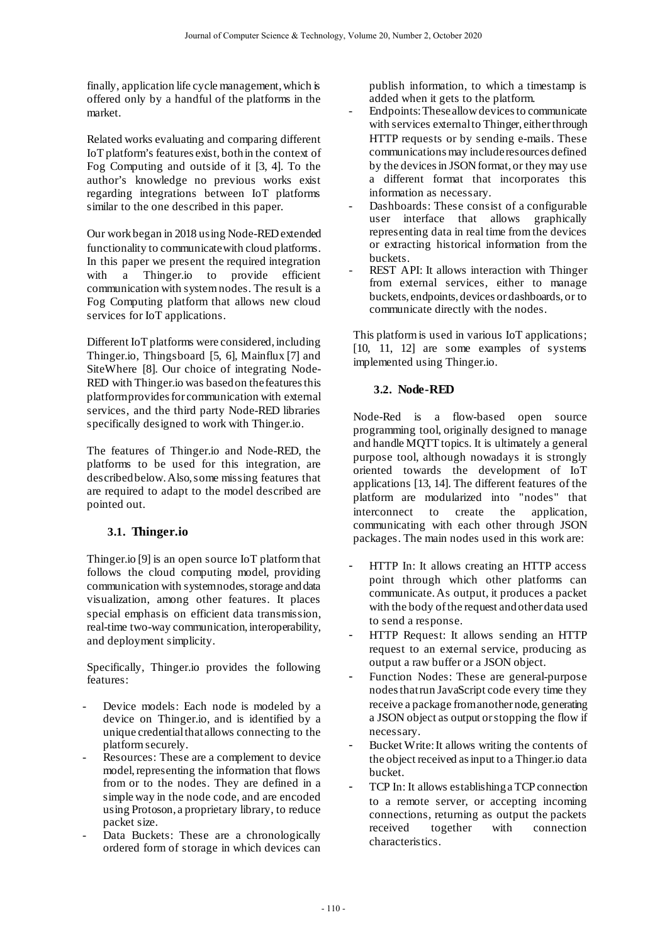finally, application life cycle management, which is offered only by a handful of the platforms in the market.

Related works evaluating and comparing different IoT platform's features exist, both in the context of Fog Computing and outside of it [3, 4]. To the author's knowledge no previous works exist regarding integrations between IoT platforms similar to the one described in this paper.

Our work began in 2018 using Node-REDextended functionality to communicate with cloud platforms. In this paper we present the required integration with a Thinger.io to provide efficient communication with system nodes. The result is a Fog Computing platform that allows new cloud services for IoT applications.

Different IoT platforms were considered, including Thinger.io, Thingsboard [5, 6], Mainflux [7] and SiteWhere [8]. Our choice of integrating Node-RED with Thinger.io was based on the features this platform provides for communication with external services, and the third party Node-RED libraries specifically designed to work with Thinger.io.

The features of Thinger.io and Node-RED, the platforms to be used for this integration, are described below. Also, some missing features that are required to adapt to the model described are pointed out.

### **3.1. Thinger.io**

Thinger.io [9] is an open source IoT platform that follows the cloud computing model, providing communication with system nodes, storage and data visualization, among other features. It places special emphasis on efficient data transmission, real-time two-way communication, interoperability, and deployment simplicity.

Specifically, Thinger.io provides the following features:

- Device models: Each node is modeled by a device on Thinger.io, and is identified by a unique credential that allows connecting to the platform securely.
- Resources: These are a complement to device model, representing the information that flows from or to the nodes. They are defined in a simple way in the node code, and are encoded using Protoson, a proprietary library, to reduce packet size.
- Data Buckets: These are a chronologically ordered form of storage in which devices can

publish information, to which a timestamp is added when it gets to the platform.

- Endpoints: These allow devices to communicate with services external to Thinger, either through HTTP requests or by sending e-mails. These communications may include resources defined by the devices in JSON format, or they may use a different format that incorporates this information as necessary.
- Dashboards: These consist of a configurable user interface that allows graphically representing data in real time from the devices or extracting historical information from the buckets.
- REST API: It allows interaction with Thinger from external services, either to manage buckets, endpoints, devices or dashboards, or to communicate directly with the nodes.

This platform is used in various IoT applications; [10, 11, 12] are some examples of systems implemented using Thinger.io.

# **3.2. Node-RED**

Node-Red is a flow-based open source programming tool, originally designed to manage and handle MQTT topics. It is ultimately a general purpose tool, although nowadays it is strongly oriented towards the development of IoT applications [13, 14]. The different features of the platform are modularized into "nodes" that interconnect to create the application, communicating with each other through JSON packages. The main nodes used in this work are:

- HTTP In: It allows creating an HTTP access point through which other platforms can communicate. As output, it produces a packet with the body of the request and other data used to send a response.
- HTTP Request: It allows sending an HTTP request to an external service, producing as output a raw buffer or a JSON object.
- Function Nodes: These are general-purpose nodes that run JavaScript code every time they receive a package from another node, generating a JSON object as output or stopping the flow if necessary.
- Bucket Write: It allows writing the contents of the object received as input to a Thinger.io data bucket.
- TCP In: It allows establishing a TCP connection to a remote server, or accepting incoming connections, returning as output the packets received together with connection characteristics.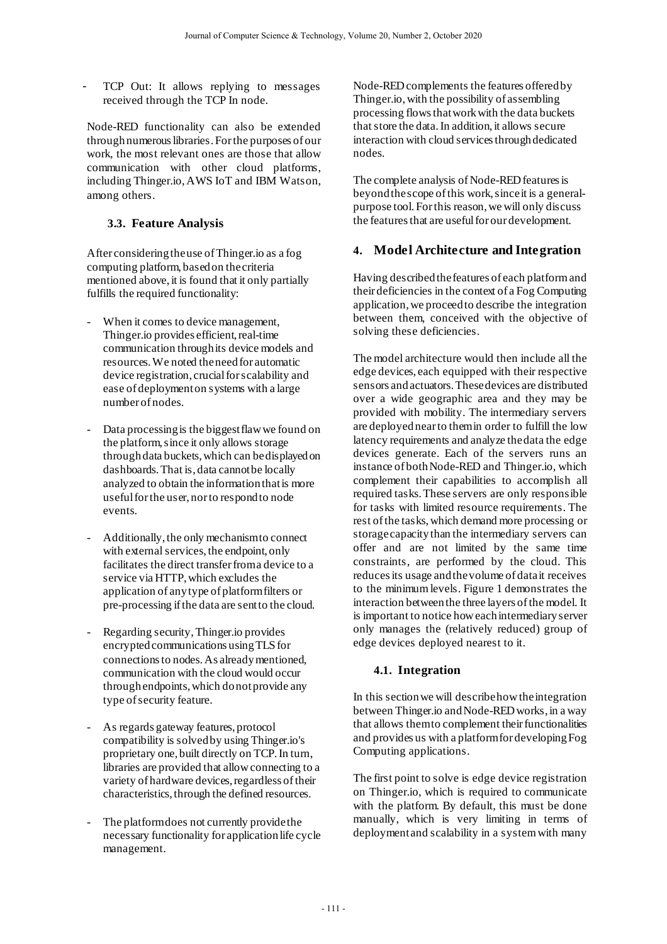TCP Out: It allows replying to messages received through the TCP In node.

Node-RED functionality can also be extended through numerous libraries. For the purposes of our work, the most relevant ones are those that allow communication with other cloud platforms, including Thinger.io, AWS IoT and IBM Watson, among others.

#### **3.3. Feature Analysis**

After considering the use of Thinger.io as a fog computing platform, based on the criteria mentioned above, it is found that it only partially fulfills the required functionality:

- When it comes to device management, Thinger.io provides efficient, real-time communication through its device models and resources. We noted the need for automatic device registration, crucial for scalability and ease of deployment on systems with a large number of nodes.
- Data processing is the biggest flaw we found on the platform, since it only allows storage through data buckets, which can be displayed on dashboards. That is, data cannot be locally analyzed to obtain the information that is more useful for the user, nor to respond to node events.
- Additionally, the only mechanism to connect with external services, the endpoint, only facilitates the direct transfer from a device to a service via HTTP, which excludes the application of any type of platform filters or pre-processing if the data are sent to the cloud.
- Regarding security, Thinger.io provides encrypted communications using TLS for connections to nodes. As already mentioned, communication with the cloud would occur through endpoints, which do not provide any type of security feature.
- As regards gateway features, protocol compatibility is solved by using Thinger.io's proprietary one, built directly on TCP. In turn, libraries are provided that allow connecting to a variety of hardware devices, regardless of their characteristics, through the defined resources.
- The platform does not currently provide the necessary functionality for application life cycle management.

Node-RED complements the features offered by Thinger.io, with the possibility of assembling processing flows that work with the data buckets that store the data. In addition, it allows secure interaction with cloud services through dedicated nodes.

The complete analysis of Node-RED features is beyond the scope of this work, since it is a generalpurpose tool. For this reason, we will only discuss the features that are useful for our development.

# **4. Model Architecture and Integration**

Having described the features of each platform and their deficiencies in the context of a Fog Computing application, we proceed to describe the integration between them, conceived with the objective of solving these deficiencies.

The model architecture would then include all the edge devices, each equipped with their respective sensors and actuators. These devices are distributed over a wide geographic area and they may be provided with mobility. The intermediary servers are deployed near to them in order to fulfill the low latency requirements and analyze the data the edge devices generate. Each of the servers runs an instance of both Node-RED and Thinger.io, which complement their capabilities to accomplish all required tasks. These servers are only responsible for tasks with limited resource requirements. The rest of the tasks, which demand more processing or storage capacity than the intermediary servers can offer and are not limited by the same time constraints, are performed by the cloud. This reduces its usage and the volume of data it receives to the minimum levels. Figure 1 demonstrates the interaction between the three layers of the model. It is important to notice how eachintermediary server only manages the (relatively reduced) group of edge devices deployed nearest to it.

### **4.1. Integration**

In this section we will describe how the integration between Thinger.io and Node-RED works, in a way that allows them to complement their functionalities and provides us with a platform for developing Fog Computing applications.

The first point to solve is edge device registration on Thinger.io, which is required to communicate with the platform. By default, this must be done manually, which is very limiting in terms of deployment and scalability in a system with many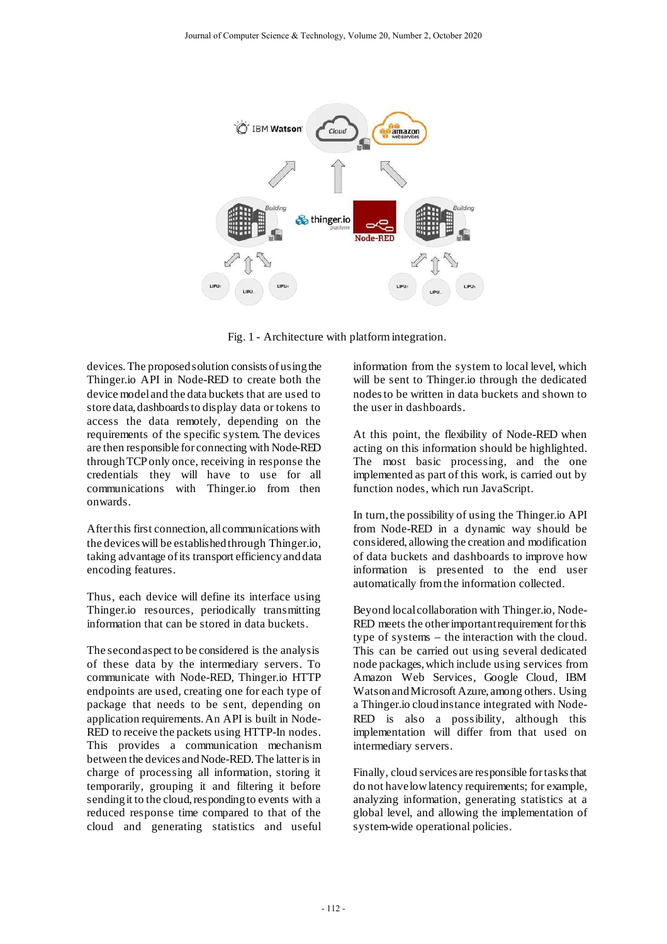

Fig. 1 - Architecture with platform integration.

devices. The proposed solution consists of using the Thinger.io API in Node-RED to create both the device model and the data buckets that are used to store data, dashboards to display data or tokens to access the data remotely, depending on the requirements of the specific system. The devices are then responsible for connecting with Node-RED through TCP only once, receiving in response the credentials they will have to use for all communications with Thinger.io from then onwards.

After this first connection, all communications with the devices will be established through Thinger.io, taking advantage of its transport efficiency and data encoding features.

Thus, each device will define its interface using Thinger.io resources, periodically transmitting information that can be stored in data buckets.

The second aspect to be considered is the analysis of these data by the intermediary servers. To communicate with Node-RED, Thinger.io HTTP endpoints are used, creating one for each type of package that needs to be sent, depending on application requirements. An API is built in Node-RED to receive the packets using HTTP-In nodes. This provides a communication mechanism between the devices and Node-RED. The latter is in charge of processing all information, storing it temporarily, grouping it and filtering it before sending it to the cloud, responding to events with a reduced response time compared to that of the cloud and generating statistics and useful

information from the system to local level, which will be sent to Thinger.io through the dedicated nodes to be written in data buckets and shown to the user in dashboards.

At this point, the flexibility of Node-RED when acting on this information should be highlighted. The most basic processing, and the one implemented as part of this work, is carried out by function nodes, which run JavaScript.

In turn, the possibility of using the Thinger.io API from Node-RED in a dynamic way should be considered, allowing the creation and modification of data buckets and dashboards to improve how information is presented to the end user automatically from the information collected.

Beyond local collaboration with Thinger.io, Node-RED meets the other important requirement for this type of systems – the interaction with the cloud. This can be carried out using several dedicated node packages, which include using services from Amazon Web Services, Google Cloud, IBM Watson and Microsoft Azure, among others. Using a Thinger.io cloud instance integrated with Node-RED is also a possibility, although this implementation will differ from that used on intermediary servers.

Finally, cloud services are responsible for tasks that do not have low latency requirements; for example, analyzing information, generating statistics at a global level, and allowing the implementation of system-wide operational policies.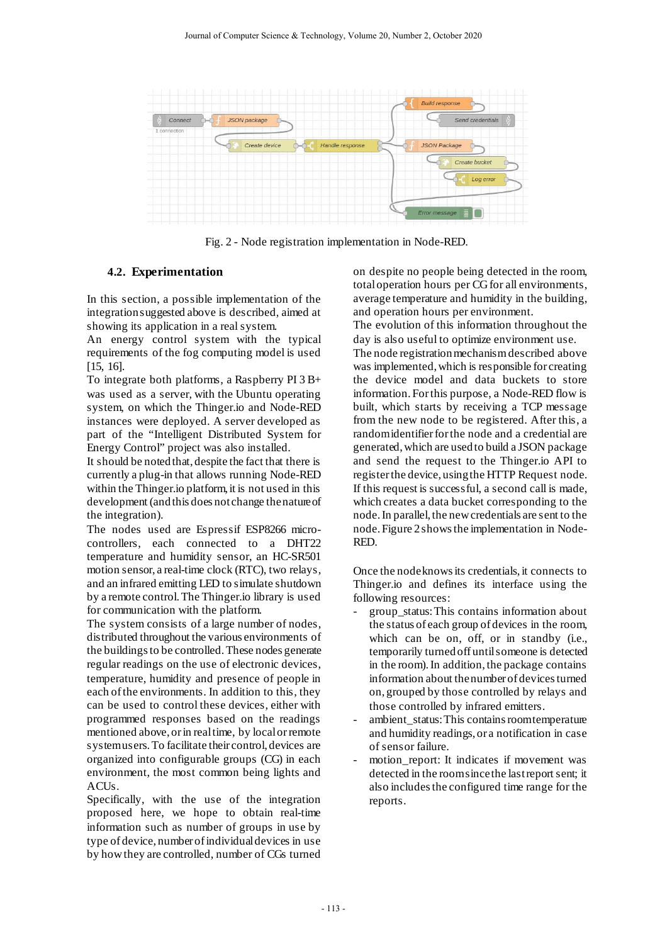

Fig. 2 - Node registration implementation in Node-RED.

#### **4.2. Experimentation**

In this section, a possible implementation of the integration suggested above is described, aimed at showing its application in a real system.

An energy control system with the typical requirements of the fog computing model is used [15, 16].

To integrate both platforms, a Raspberry PI 3 B+ was used as a server, with the Ubuntu operating system, on which the Thinger.io and Node-RED instances were deployed. A server developed as part of the "Intelligent Distributed System for Energy Control" project was also installed.

It should be noted that, despite the fact that there is currently a plug-in that allows running Node-RED within the Thinger.io platform, it is not used in this development (and this does not change the nature of the integration).

The nodes used are Espressif ESP8266 microcontrollers, each connected to a DHT22 temperature and humidity sensor, an HC-SR501 motion sensor, a real-time clock (RTC), two relays, and an infrared emitting LED to simulate shutdown by a remote control. The Thinger.io library is used for communication with the platform.

The system consists of a large number of nodes, distributed throughout the various environments of the buildings to be controlled. These nodes generate regular readings on the use of electronic devices, temperature, humidity and presence of people in each of the environments. In addition to this, they can be used to control these devices, either with programmed responses based on the readings mentioned above, or in real time, by local or remote system users. To facilitate their control, devices are organized into configurable groups (CG) in each environment, the most common being lights and ACUs.

Specifically, with the use of the integration proposed here, we hope to obtain real-time information such as number of groups in use by type of device, number of individual devices in use by how they are controlled, number of CGs turned on despite no people being detected in the room, total operation hours per CG for all environments, average temperature and humidity in the building, and operation hours per environment.

The evolution of this information throughout the day is also useful to optimize environment use.

The node registration mechanism described above was implemented, which is responsible for creating the device model and data buckets to store information. For this purpose, a Node-RED flow is built, which starts by receiving a TCP message from the new node to be registered. After this, a random identifier for the node and a credential are generated, which are used to build a JSON package and send the request to the Thinger.io API to register the device, using the HTTP Request node. If this request is successful, a second call is made, which creates a data bucket corresponding to the node. In parallel, the new credentials are sent to the node. Figure 2 shows the implementation in Node-RED.

Once the node knows its credentials, it connects to Thinger.io and defines its interface using the following resources:

- group\_status: This contains information about the status of each group of devices in the room, which can be on, off, or in standby (i.e., temporarily turned off until someone is detected in the room). In addition, the package contains information about the number of devices turned on, grouped by those controlled by relays and those controlled by infrared emitters.
- ambient\_status: This contains room temperature and humidity readings, or a notification in case of sensor failure.
- motion\_report: It indicates if movement was detected in the room since the last report sent; it also includes the configured time range for the reports.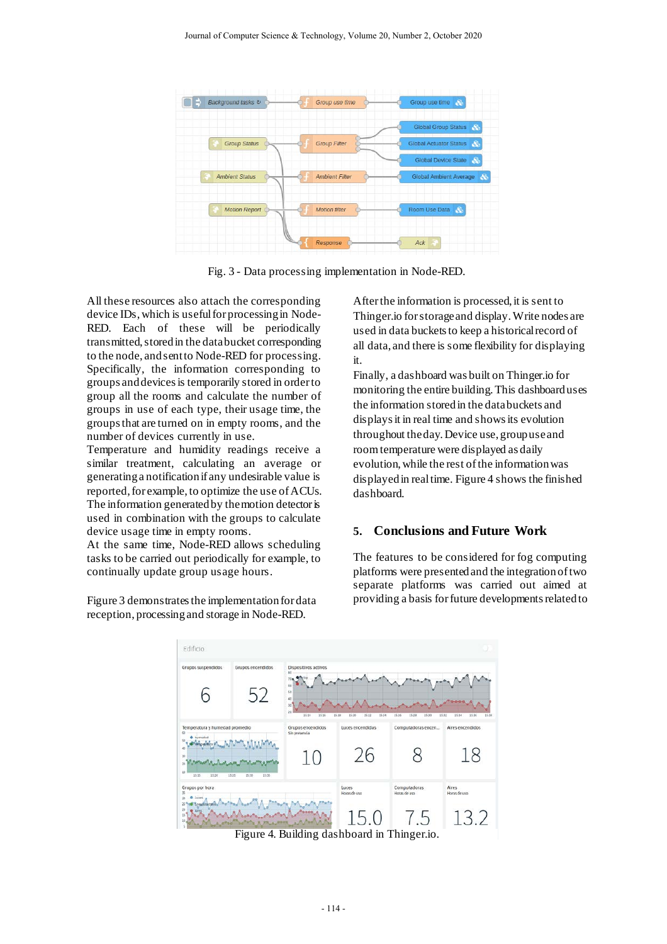

Fig. 3 - Data processing implementation in Node-RED.

All these resources also attach the corresponding device IDs, which is useful for processing in Node-RED. Each of these will be periodically transmitted, stored in the data bucket corresponding to the node, and sent to Node-RED for processing. Specifically, the information corresponding to groups and devices is temporarily stored in order to group all the rooms and calculate the number of groups in use of each type, their usage time, the groups that are turned on in empty rooms, and the number of devices currently in use.

Temperature and humidity readings receive a similar treatment, calculating an average or generating a notification if any undesirable value is reported, for example, to optimize the use of ACUs. The information generated by the motion detector is used in combination with the groups to calculate device usage time in empty rooms.

At the same time, Node-RED allows scheduling tasks to be carried out periodically for example, to continually update group usage hours.

Figure 3 demonstrates the implementation for data reception, processing and storage in Node-RED.

After the information is processed, it is sent to Thinger.io for storage and display. Write nodes are used in data buckets to keep a historical record of all data, and there is some flexibility for displaying it.

Finally, a dashboard was built on Thinger.io for monitoring the entire building. This dashboard uses the information stored in the data buckets and displays it in real time and shows its evolution throughout the day. Device use, group use and room temperature were displayed as daily evolution, while the rest of the information was displayed in real time. Figure 4 shows the finished dashboard.

#### **5. Conclusions and Future Work**

The features to be considered for fog computing platforms were presented and the integration of two separate platforms was carried out aimed at providing a basis forfuture developments related to



Figure 4. Building dashboard in Thinger.io.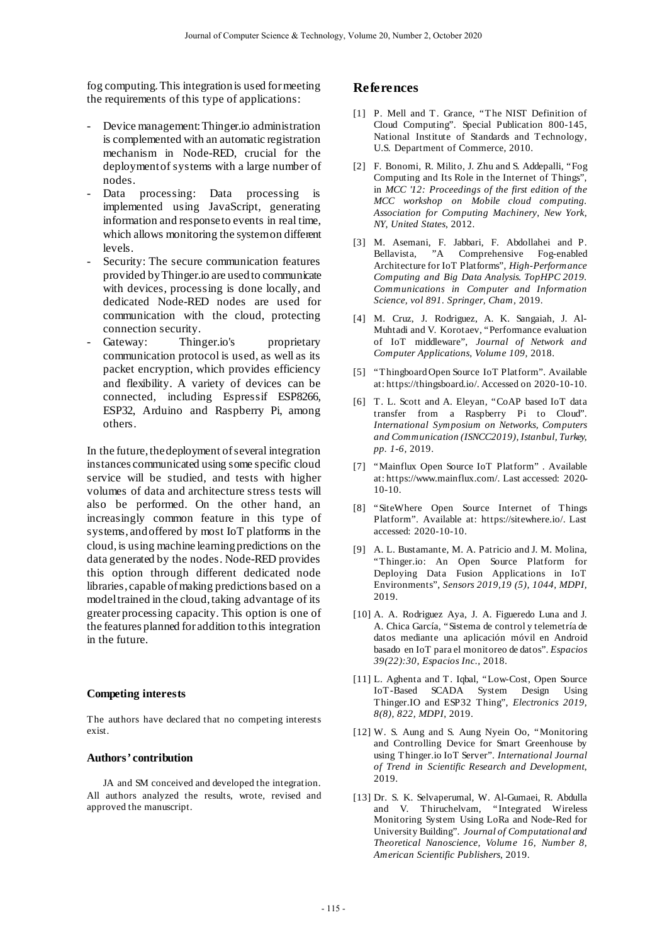fog computing. This integration is used for meeting the requirements of this type of applications:

- Device management: Thinger.io administration is complemented with an automatic registration mechanism in Node-RED, crucial for the deployment of systems with a large number of nodes.
- Data processing: Data processing is implemented using JavaScript, generating information and response to events in real time, which allows monitoring the system on different levels.
- Security: The secure communication features provided by Thinger.io are used to communicate with devices, processing is done locally, and dedicated Node-RED nodes are used for communication with the cloud, protecting connection security.
- Gateway: Thinger.io's proprietary communication protocol is used, as well as its packet encryption, which provides efficiency and flexibility. A variety of devices can be connected, including Espressif ESP8266, ESP32, Arduino and Raspberry Pi, among others.

In the future, the deployment of several integration instances communicated using some specific cloud service will be studied, and tests with higher volumes of data and architecture stress tests will also be performed. On the other hand, an increasingly common feature in this type of systems, and offered by most IoT platforms in the cloud, is using machine learning predictions on the data generated by the nodes. Node-RED provides this option through different dedicated node libraries, capable of making predictions based on a model trained in the cloud, taking advantage of its greater processing capacity. This option is one of the features planned for addition to this integration in the future.

#### **Competing interests**

The authors have declared that no competing interests exist.

#### **Authors' contribution**

JA and SM conceived and developed the integration. All authors analyzed the results, wrote, revised and approved the manuscript.

#### **References**

- [1] P. Mell and T. Grance, "The NIST Definition of Cloud Computing". Special Publication 800-145, National Institute of Standards and Technology, U.S. Department of Commerce, 2010.
- [2] F. Bonomi, R. Milito, J. Zhu and S. Addepalli, "Fog Computing and Its Role in the Internet of Things", in *MCC '12: Proceedings of the first edition of the MCC workshop on Mobile cloud computing. Association for Computing Machinery, New York, NY, United States*, 2012.
- [3] M. Asemani, F. Jabbari, F. Abdollahei and P. Bellavista, "A Comprehensive Fog-enabled Architecture for IoT Platforms", *High-Performance Computing and Big Data Analysis. TopHPC 2019. Communications in Computer and Information Science, vol 891. Springer, Cham,* 2019.
- [4] M. Cruz, J. Rodriguez, A. K. Sangaiah, J. Al-Muhtadi and V. Korotaev, "Performance evaluation of IoT middleware", *Journal of Network and Computer Applications, Volume 109,* 2018.
- [5] "Thingboard Open Source IoT Platform". Available at[: https://thingsboard.io/.](https://thingsboard.io/) Accessed on 2020-10-10.
- [6] T. L. Scott and A. Eleyan, "CoAP based IoT data transfer from a Raspberry Pi to Cloud". *International Symposium on Networks, Computers and Communication (ISNCC2019), Istanbul, Turkey, pp. 1-6,* 2019.
- [7] "Mainflux Open Source IoT Platform" . Available at[: https://www.mainflux.com/.](https://www.mainflux.com/) Last accessed: 2020- 10-10.
- [8] "SiteWhere Open Source Internet of Things Platform". Available at: [https://sitewhere.io/.](https://sitewhere.io/) Last accessed: 2020-10-10.
- [9] A. L. Bustamante, M. A. Patricio and J. M. Molina, "Thinger.io: An Open Source Platform for Deploying Data Fusion Applications in IoT Environments", *Sensors 2019,19 (5), 1044, MDPI,* 2019.
- [10] A. A. Rodriguez Aya, J. A. Figueredo Luna and J. A. Chica García, "Sistema de control y telemetría de datos mediante una aplicación móvil en Android basado en IoT para el monitoreo de datos". *Espacios 39(22):30, Espacios Inc.,* 2018.
- [11] L. Aghenta and T. Iqbal, "Low-Cost, Open Source IoT-Based SCADA System Design Using Thinger.IO and ESP32 Thing", *Electronics 2019, 8(8), 822, MDPI*, 2019.
- [12] W. S. Aung and S. Aung Nyein Oo, "Monitoring and Controlling Device for Smart Greenhouse by using Thinger.io IoT Server". *International Journal of Trend in Scientific Research and Development*, 2019.
- [13] Dr. S. K. Selvaperumal, W. Al-Gumaei, R. Abdulla and V. Thiruchelvam, "Integrated Wireless Monitoring System Using LoRa and Node-Red for University Building". *Journal of Computational and Theoretical Nanoscience, Volume 16, Number 8, American Scientific Publishers*, 2019.